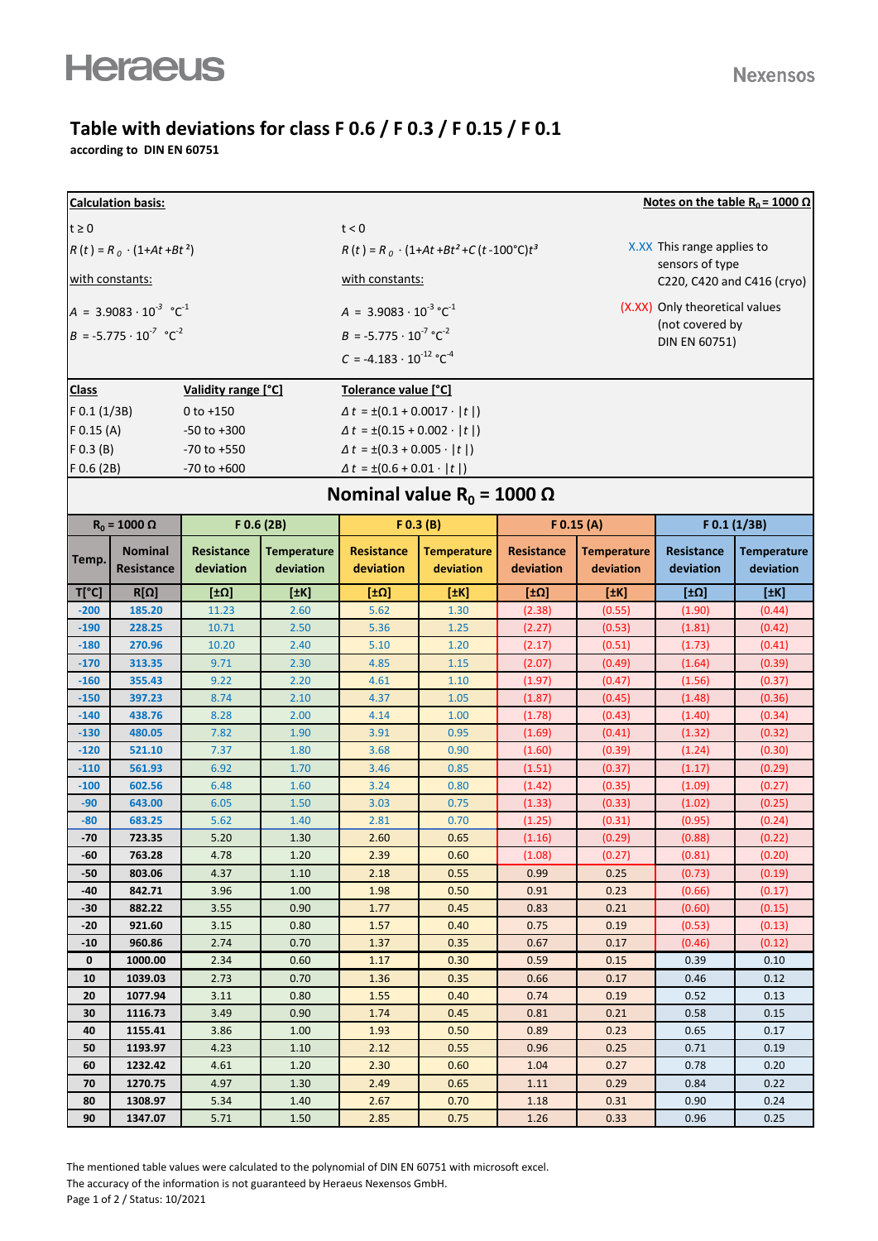## **Table with deviations for class F 0.6 / F 0.3 / F 0.15 / F 0.1**

**according to DIN EN 60751**

| Notes on the table R <sub>0</sub> = 1000 $\Omega$<br><b>Calculation basis:</b> |                                            |                     |                                           |                                                     |                                           |                   |                                  |                  |                    |  |  |
|--------------------------------------------------------------------------------|--------------------------------------------|---------------------|-------------------------------------------|-----------------------------------------------------|-------------------------------------------|-------------------|----------------------------------|------------------|--------------------|--|--|
| $t \geq 0$                                                                     |                                            |                     |                                           | t < 0                                               |                                           |                   |                                  |                  |                    |  |  |
|                                                                                | $R(t) = R_0 \cdot (1 + At + Bt^2)$         |                     |                                           | $R(t) = R_0 \cdot (1+At+Bt^2+C(t-100^{\circ}C)t^3)$ |                                           |                   | X.XX This range applies to       |                  |                    |  |  |
| with constants:                                                                |                                            |                     |                                           | with constants:                                     |                                           |                   | sensors of type                  |                  |                    |  |  |
|                                                                                |                                            |                     |                                           |                                                     |                                           |                   | C220, C420 and C416 (cryo)       |                  |                    |  |  |
|                                                                                | $A = 3.9083 \cdot 10^{-3} \text{ °C}^{-1}$ |                     |                                           | $A = 3.9083 \cdot 10^{-3} \,^{\circ} \text{C}^{-1}$ |                                           |                   | (X.XX) Only theoretical values   |                  |                    |  |  |
|                                                                                | $B = -5.775 \cdot 10^{-7} \text{ °C}^{-2}$ |                     |                                           | $B = -5.775 \cdot 10^{-7} \text{ °C}^{-2}$          |                                           |                   | (not covered by<br>DIN EN 60751) |                  |                    |  |  |
|                                                                                |                                            |                     |                                           | $C = -4.183 \cdot 10^{-12} \degree C^{-4}$          |                                           |                   |                                  |                  |                    |  |  |
|                                                                                |                                            |                     |                                           |                                                     |                                           |                   |                                  |                  |                    |  |  |
| <b>Class</b>                                                                   |                                            | Validity range [°C] |                                           | Tolerance value [°C]                                |                                           |                   |                                  |                  |                    |  |  |
| $F$ 0.1 (1/3B)                                                                 |                                            | $0$ to $+150$       |                                           |                                                     | $\Delta t = \pm (0.1 + 0.0017 \cdot  t )$ |                   |                                  |                  |                    |  |  |
| $F$ 0.15 (A)<br>$-50$ to $+300$                                                |                                            |                     | $\Delta t = \pm (0.15 + 0.002 \cdot  t )$ |                                                     |                                           |                   |                                  |                  |                    |  |  |
| $F$ 0.3 (B)<br>$-70$ to $+550$                                                 |                                            |                     | $\Delta t = \pm (0.3 + 0.005 \cdot  t )$  |                                                     |                                           |                   |                                  |                  |                    |  |  |
| $F$ 0.6 (2B)                                                                   |                                            | $-70$ to $+600$     |                                           | $\Delta t = \pm (0.6 + 0.01 \cdot  t )$             |                                           |                   |                                  |                  |                    |  |  |
| Nominal value R <sub>0</sub> = 1000 $\Omega$                                   |                                            |                     |                                           |                                                     |                                           |                   |                                  |                  |                    |  |  |
|                                                                                | $R_0 = 1000 \Omega$                        | F 0.6 (2B)          |                                           | F(0.3 (B))                                          |                                           | $F$ 0.15 (A)      |                                  | F 0.1 (1/3B)     |                    |  |  |
|                                                                                | <b>Nominal</b>                             | <b>Resistance</b>   | <b>Temperature</b>                        | <b>Resistance</b>                                   | <b>Temperature</b>                        | <b>Resistance</b> | <b>Temperature</b>               | Resistance       | <b>Temperature</b> |  |  |
| Temp.                                                                          | Resistance                                 | deviation           | deviation                                 | deviation                                           | deviation                                 | deviation         | deviation                        | deviation        | deviation          |  |  |
| $T[^{\circ}C]$                                                                 | $R[\Omega]$                                | [10]                | [#K]                                      | [±Ω]                                                | [±K]                                      | [±Ω]              | [ $H$ K]                         | [ $±Ω$ ]         | [#K]               |  |  |
| $-200$                                                                         | 185.20                                     | 11.23               | 2.60                                      | 5.62                                                | 1.30                                      | (2.38)            | (0.55)                           | (1.90)           | (0.44)             |  |  |
| $-190$                                                                         | 228.25                                     | 10.71               | 2.50                                      | 5.36                                                | 1.25                                      | (2.27)            | (0.53)                           | (1.81)           | (0.42)             |  |  |
| $-180$                                                                         | 270.96                                     | 10.20               | 2.40                                      | 5.10                                                | 1.20                                      | (2.17)            | (0.51)                           | (1.73)           | (0.41)             |  |  |
| $-170$                                                                         | 313.35                                     | 9.71                | 2.30                                      | 4.85                                                | 1.15                                      | (2.07)            | (0.49)                           | (1.64)           | (0.39)             |  |  |
| $-160$                                                                         | 355.43                                     | 9.22                | 2.20                                      | 4.61                                                | 1.10                                      | (1.97)            | (0.47)                           | (1.56)           | (0.37)             |  |  |
| $-150$                                                                         | 397.23                                     | 8.74                | 2.10                                      | 4.37                                                | 1.05                                      | (1.87)            | (0.45)                           | (1.48)           | (0.36)             |  |  |
| $-140$                                                                         | 438.76                                     | 8.28                | 2.00                                      | 4.14                                                | 1.00                                      | (1.78)            | (0.43)                           | (1.40)           | (0.34)             |  |  |
| $-130$                                                                         | 480.05                                     | 7.82                | 1.90                                      | 3.91                                                | 0.95                                      | (1.69)            | (0.41)                           | (1.32)           | (0.32)             |  |  |
| $-120$                                                                         | 521.10                                     | 7.37                | 1.80                                      | 3.68                                                | 0.90                                      | (1.60)            | (0.39)                           | (1.24)           | (0.30)             |  |  |
| $-110$                                                                         | 561.93                                     | 6.92                | 1.70                                      | 3.46                                                | 0.85                                      | (1.51)            | (0.37)                           | (1.17)           | (0.29)             |  |  |
| $-100$                                                                         | 602.56                                     | 6.48                | 1.60                                      | 3.24                                                | 0.80                                      | (1.42)            | (0.35)                           | (1.09)           | (0.27)             |  |  |
| $-90$                                                                          | 643.00                                     | 6.05                | 1.50                                      | 3.03                                                | 0.75                                      | (1.33)            | (0.33)                           | (1.02)           | (0.25)             |  |  |
| $-80$                                                                          | 683.25                                     | 5.62                | 1.40                                      | 2.81                                                | 0.70                                      | (1.25)            | (0.31)                           | (0.95)           | (0.24)             |  |  |
| $-70$                                                                          | 723.35                                     | 5.20                | 1.30                                      | 2.60                                                | 0.65                                      | (1.16)            | (0.29)                           | (0.88)           | (0.22)             |  |  |
| -60                                                                            | 763.28                                     | 4.78                | 1.20                                      | 2.39                                                | 0.60                                      | (1.08)            | (0.27)                           | (0.81)           | (0.20)             |  |  |
| $-50$<br>-40                                                                   | 803.06<br>842.71                           | 4.37<br>3.96        | 1.10<br>1.00                              | 2.18<br>1.98                                        | 0.55<br>0.50                              | 0.99<br>0.91      | 0.25<br>0.23                     | (0.73)<br>(0.66) | (0.19)<br>(0.17)   |  |  |
| -30                                                                            | 882.22                                     | 3.55                | 0.90                                      | 1.77                                                | 0.45                                      | 0.83              | 0.21                             | (0.60)           | (0.15)             |  |  |
| -20                                                                            | 921.60                                     | 3.15                | 0.80                                      | 1.57                                                | 0.40                                      | 0.75              | 0.19                             | (0.53)           | (0.13)             |  |  |
| $-10$                                                                          | 960.86                                     | 2.74                | 0.70                                      | 1.37                                                | 0.35                                      | 0.67              | 0.17                             | (0.46)           | (0.12)             |  |  |
| $\mathbf 0$                                                                    | 1000.00                                    | 2.34                | 0.60                                      | 1.17                                                | 0.30                                      | 0.59              | 0.15                             | 0.39             | 0.10               |  |  |
| 10                                                                             | 1039.03                                    | 2.73                | 0.70                                      | 1.36                                                | 0.35                                      | 0.66              | 0.17                             | 0.46             | 0.12               |  |  |
| 20                                                                             | 1077.94                                    | 3.11                | 0.80                                      | 1.55                                                | 0.40                                      | 0.74              | 0.19                             | 0.52             | 0.13               |  |  |
| 30                                                                             | 1116.73                                    | 3.49                | 0.90                                      | 1.74                                                | 0.45                                      | 0.81              | 0.21                             | 0.58             | 0.15               |  |  |
| 40                                                                             | 1155.41                                    | 3.86                | 1.00                                      | 1.93                                                | 0.50                                      | 0.89              | 0.23                             | 0.65             | 0.17               |  |  |
| 50                                                                             | 1193.97                                    | 4.23                | 1.10                                      | 2.12                                                | 0.55                                      | 0.96              | 0.25                             | 0.71             | 0.19               |  |  |
| 60                                                                             | 1232.42                                    | 4.61                | 1.20                                      | 2.30                                                | 0.60                                      | 1.04              | 0.27                             | 0.78             | 0.20               |  |  |
| 70                                                                             | 1270.75                                    | 4.97                | 1.30                                      | 2.49                                                | 0.65                                      | 1.11              | 0.29                             | 0.84             | 0.22               |  |  |
| 80                                                                             | 1308.97                                    | 5.34                | 1.40                                      | 2.67                                                | 0.70                                      | 1.18              | 0.31                             | 0.90             | 0.24               |  |  |
| 90                                                                             | 1347.07                                    | 5.71                | 1.50                                      | 2.85                                                | 0.75                                      | 1.26              | 0.33                             | 0.96             | 0.25               |  |  |

The mentioned table values were calculated to the polynomial of DIN EN 60751 with microsoft excel. The accuracy of the information is not guaranteed by Heraeus Nexensos GmbH. Page 1 of 2 / Status: 10/2021